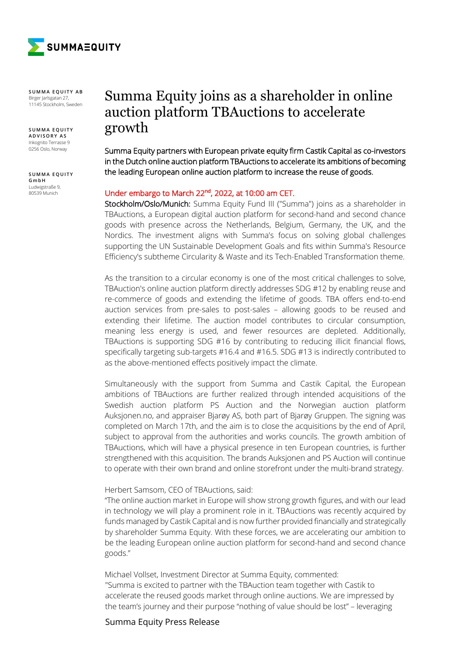

**SUMMA EQUITY AB** Birger Jarlsgatan 27, 11145 Stockholm, Sweden

**SUMMA EQUITY ADVISORY AS** Inkognito Terrasse 9 0256 Oslo, Norway

**SUMMA EQUITY GmbH** Ludwigstraße 9, 80539 Munich

# Summa Equity joins as a shareholder in online auction platform TBAuctions to accelerate growth

Summa Equity partners with European private equity firm Castik Capital as co-investors in the Dutch online auction platform TBAuctions to accelerate its ambitions of becoming the leading European online auction platform to increase the reuse of goods.

## Under embargo to March 22nd, 2022, at 10:00 am CET.

Stockholm/Oslo/Munich: Summa Equity Fund III ("Summa") joins as a shareholder in TBAuctions, a European digital auction platform for second-hand and second chance goods with presence across the Netherlands, Belgium, Germany, the UK, and the Nordics. The investment aligns with Summa's focus on solving global challenges supporting the UN Sustainable Development Goals and fits within Summa's Resource Efficiency's subtheme Circularity & Waste and its Tech-Enabled Transformation theme.

As the transition to a circular economy is one of the most critical challenges to solve, TBAuction's online auction platform directly addresses SDG #12 by enabling reuse and re-commerce of goods and extending the lifetime of goods. TBA offers end-to-end auction services from pre-sales to post-sales – allowing goods to be reused and extending their lifetime. The auction model contributes to circular consumption, meaning less energy is used, and fewer resources are depleted. Additionally, TBAuctions is supporting SDG #16 by contributing to reducing illicit financial flows, specifically targeting sub-targets #16.4 and #16.5. SDG #13 is indirectly contributed to as the above-mentioned effects positively impact the climate.

Simultaneously with the support from Summa and Castik Capital, the European ambitions of TBAuctions are further realized through intended acquisitions of the Swedish auction platform PS Auction and the Norwegian auction platform Auksjonen.no, and appraiser Bjarøy AS, both part of Bjarøy Gruppen. The signing was completed on March 17th, and the aim is to close the acquisitions by the end of April, subject to approval from the authorities and works councils. The growth ambition of TBAuctions, which will have a physical presence in ten European countries, is further strengthened with this acquisition. The brands Auksjonen and PS Auction will continue to operate with their own brand and online storefront under the multi-brand strategy.

#### Herbert Samsom, CEO of TBAuctions, said:

"The online auction market in Europe will show strong growth figures, and with our lead in technology we will play a prominent role in it. TBAuctions was recently acquired by funds managed by Castik Capital and is now further provided financially and strategically by shareholder Summa Equity. With these forces, we are accelerating our ambition to be the leading European online auction platform for second-hand and second chance goods."

Michael Vollset, Investment Director at Summa Equity, commented: "Summa is excited to partner with the TBAuction team together with Castik to accelerate the reused goods market through online auctions. We are impressed by the team's journey and their purpose "nothing of value should be lost" – leveraging

## Summa Equity Press Release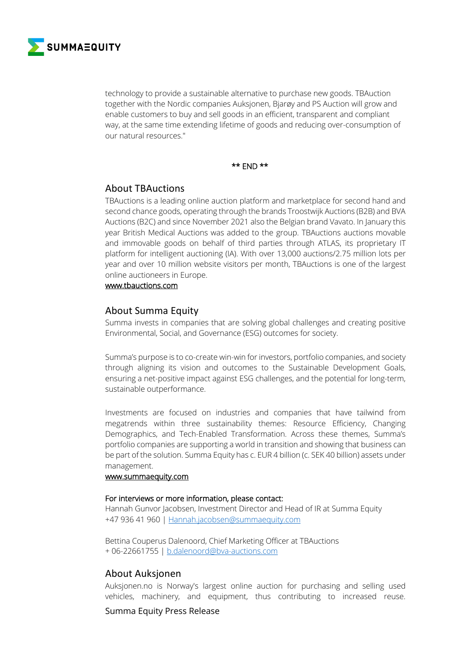

technology to provide a sustainable alternative to purchase new goods. TBAuction together with the Nordic companies Auksjonen, Bjarøy and PS Auction will grow and enable customers to buy and sell goods in an efficient, transparent and compliant way, at the same time extending lifetime of goods and reducing over-consumption of our natural resources."

#### \*\* END \*\*

# About TBAuctions

TBAuctions is a leading online auction platform and marketplace for second hand and second chance goods, operating through the brands Troostwijk Auctions (B2B) and BVA Auctions (B2C) and since November 2021 also the Belgian brand Vavato. In January this year British Medical Auctions was added to the group. TBAuctions auctions movable and immovable goods on behalf of third parties through ATLAS, its proprietary IT platform for intelligent auctioning (IA). With over 13,000 auctions/2.75 million lots per year and over 10 million website visitors per month, TBAuctions is one of the largest online auctioneers in Europe.

### www.tbauctions.com

# About Summa Equity

Summa invests in companies that are solving global challenges and creating positive Environmental, Social, and Governance (ESG) outcomes for society.

Summa's purpose is to co-create win-win for investors, portfolio companies, and society through aligning its vision and outcomes to the Sustainable Development Goals, ensuring a net-positive impact against ESG challenges, and the potential for long-term, sustainable outperformance.

Investments are focused on industries and companies that have tailwind from megatrends within three sustainability themes: Resource Efficiency, Changing Demographics, and Tech-Enabled Transformation. Across these themes, Summa's portfolio companies are supporting a world in transition and showing that business can be part of the solution. Summa Equity has c. EUR 4 billion (c. SEK 40 billion) assets under management.

#### www.summaequity.com

#### For interviews or more information, please contact:

Hannah Gunvor Jacobsen, Investment Director and Head of IR at Summa Equity +47 936 41 960 | Hannah.jacobsen@summaequity.com

Bettina Couperus Dalenoord, Chief Marketing Officer at TBAuctions + 06-22661755 | b.dalenoord@bva-auctions.com

# About Auksjonen

Auksjonen.no is Norway's largest online auction for purchasing and selling used vehicles, machinery, and equipment, thus contributing to increased reuse.

Summa Equity Press Release